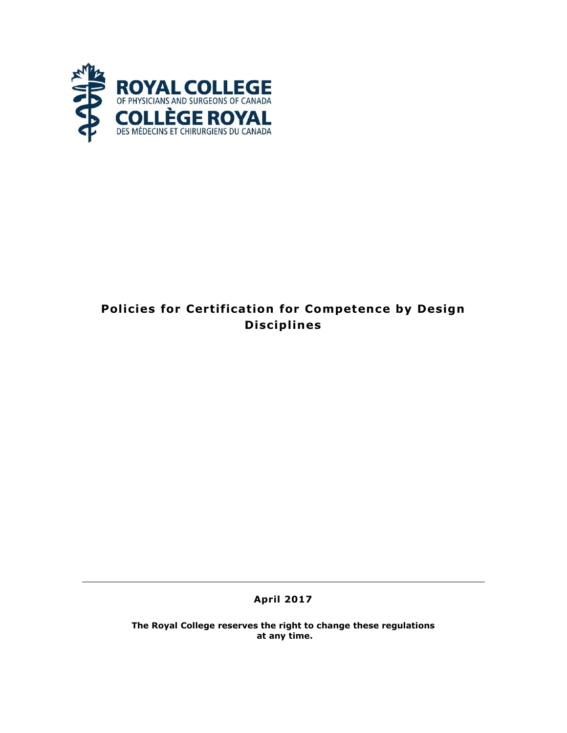

# **Policies for Certification for Competence by Design Discip l ines**

**April 2017**

**The Royal College reserves the right to change these regulations at any time.**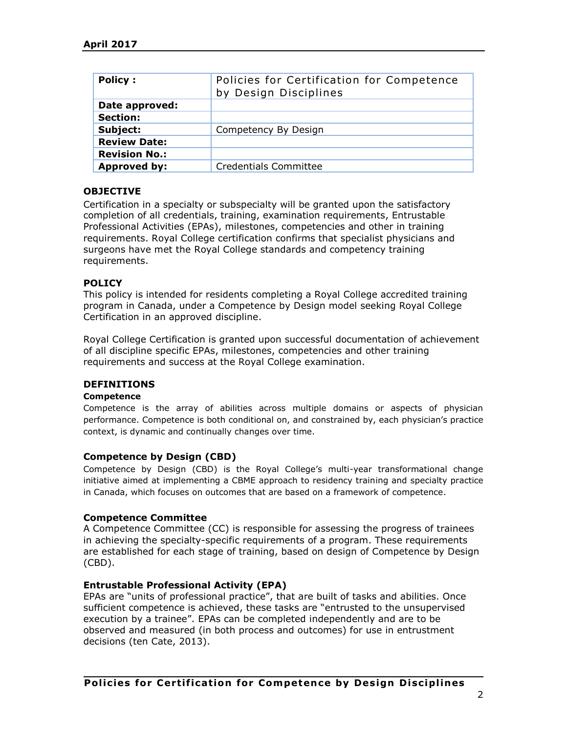| <b>Policy:</b>       | Policies for Certification for Competence<br>by Design Disciplines |
|----------------------|--------------------------------------------------------------------|
| Date approved:       |                                                                    |
| <b>Section:</b>      |                                                                    |
| Subject:             | Competency By Design                                               |
| <b>Review Date:</b>  |                                                                    |
| <b>Revision No.:</b> |                                                                    |
| <b>Approved by:</b>  | <b>Credentials Committee</b>                                       |

# **OBJECTIVE**

Certification in a specialty or subspecialty will be granted upon the satisfactory completion of all credentials, training, examination requirements, Entrustable Professional Activities (EPAs), milestones, competencies and other in training requirements. Royal College certification confirms that specialist physicians and surgeons have met the Royal College standards and competency training requirements.

### **POLICY**

This policy is intended for residents completing a Royal College accredited training program in Canada, under a Competence by Design model seeking Royal College Certification in an approved discipline.

Royal College Certification is granted upon successful documentation of achievement of all discipline specific EPAs, milestones, competencies and other training requirements and success at the Royal College examination.

### **DEFINITIONS**

#### **Competence**

Competence is the array of abilities across multiple domains or aspects of physician performance. Competence is both conditional on, and constrained by, each physician's practice context, is dynamic and continually changes over time.

### **Competence by Design (CBD)**

Competence by Design (CBD) is the Royal College's multi-year transformational change initiative aimed at implementing a CBME approach to residency training and specialty practice in Canada, which focuses on outcomes that are based on a framework of competence.

### **Competence Committee**

A Competence Committee (CC) is responsible for assessing the progress of trainees in achieving the specialty-specific requirements of a program. These requirements are established for each stage of training, based on design of Competence by Design (CBD).

#### **Entrustable Professional Activity (EPA)**

EPAs are "units of professional practice", that are built of tasks and abilities. Once sufficient competence is achieved, these tasks are "entrusted to the unsupervised execution by a trainee". EPAs can be completed independently and are to be observed and measured (in both process and outcomes) for use in entrustment decisions (ten Cate, 2013).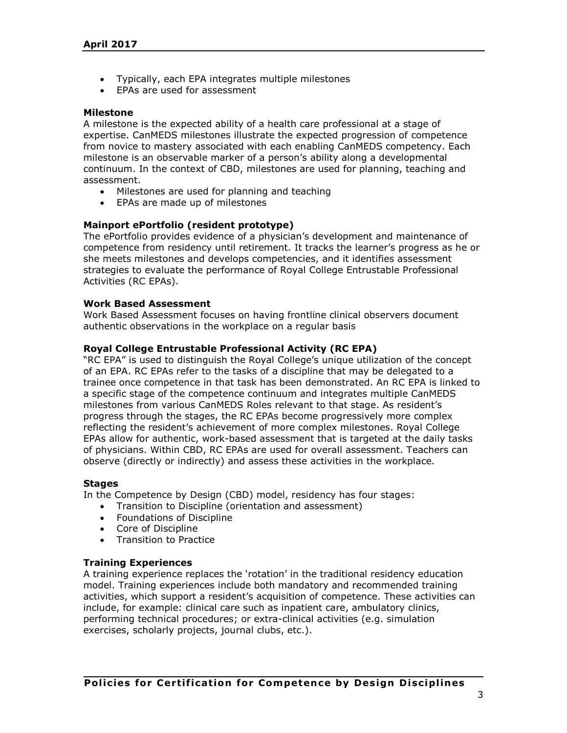- Typically, each EPA integrates multiple milestones
- EPAs are used for assessment

### **Milestone**

A milestone is the expected ability of a health care professional at a stage of expertise. CanMEDS milestones illustrate the expected progression of competence from novice to mastery associated with each enabling CanMEDS competency. Each milestone is an observable marker of a person's ability along a developmental continuum. In the context of CBD, milestones are used for planning, teaching and assessment.

- Milestones are used for planning and teaching
- EPAs are made up of milestones

# **Mainport ePortfolio (resident prototype)**

The ePortfolio provides evidence of a physician's development and maintenance of competence from residency until retirement. It tracks the learner's progress as he or she meets milestones and develops competencies, and it identifies assessment strategies to evaluate the performance of Royal College Entrustable Professional Activities (RC EPAs).

# **Work Based Assessment**

Work Based Assessment focuses on having frontline clinical observers document authentic observations in the workplace on a regular basis

# **Royal College Entrustable Professional Activity (RC EPA)**

"RC EPA" is used to distinguish the Royal College's unique utilization of the concept of an EPA. RC EPAs refer to the tasks of a discipline that may be delegated to a trainee once competence in that task has been demonstrated. An RC EPA is linked to a specific stage of the competence continuum and integrates multiple CanMEDS milestones from various CanMEDS Roles relevant to that stage. As resident's progress through the stages, the RC EPAs become progressively more complex reflecting the resident's achievement of more complex milestones. Royal College EPAs allow for authentic, work-based assessment that is targeted at the daily tasks of physicians. Within CBD, RC EPAs are used for overall assessment. Teachers can observe (directly or indirectly) and assess these activities in the workplace.

### **Stages**

In the Competence by Design (CBD) model, residency has [four stages:](http://www.royalcollege.ca/rcsite/documents/cbd/cbd-competence-continuum-diagram-legal-e.pdf)

- Transition to Discipline (orientation and assessment)
- Foundations of Discipline
- Core of Discipline
- Transition to Practice

# **Training Experiences**

A training experience replaces the 'rotation' in the traditional residency education model. Training experiences include both mandatory and recommended training activities, which support a resident's acquisition of competence. These activities can include, for example: clinical care such as inpatient care, ambulatory clinics, performing technical procedures; or extra-clinical activities (e.g. simulation exercises, scholarly projects, journal clubs, etc.).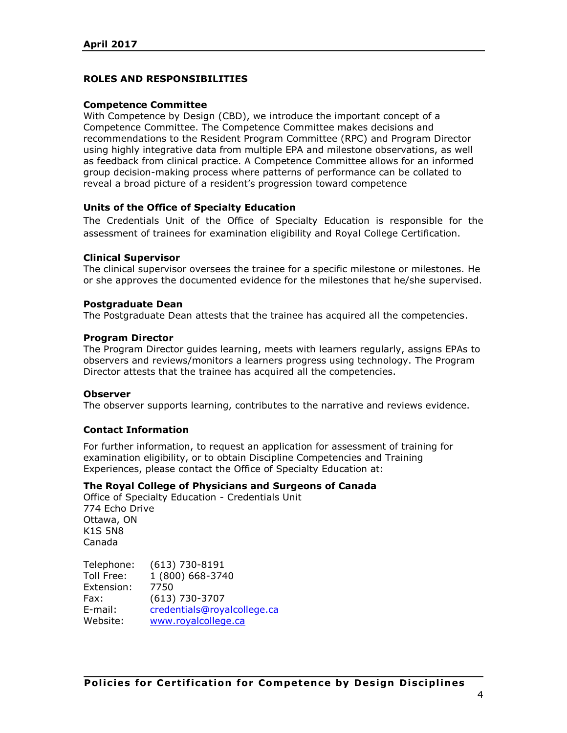# **ROLES AND RESPONSIBILITIES**

### **Competence Committee**

With Competence by Design (CBD), we introduce the important concept of a Competence Committee. The Competence Committee makes decisions and recommendations to the Resident Program Committee (RPC) and Program Director using highly integrative data from multiple [EPA and milestone](http://www.royalcollege.ca/rcsite/cbd/implementation/cbd-milestones-epas-e) observations, as well as feedback from clinical practice. A Competence Committee allows for an informed group decision-making process where patterns of performance can be collated to reveal a broad picture of a resident's progression toward competence

### **Units of the Office of Specialty Education**

The Credentials Unit of the Office of Specialty Education is responsible for the assessment of trainees for examination eligibility and Royal College Certification.

#### **Clinical Supervisor**

The clinical supervisor oversees the trainee for a specific milestone or milestones. He or she approves the documented evidence for the milestones that he/she supervised.

#### **Postgraduate Dean**

The Postgraduate Dean attests that the trainee has acquired all the competencies.

#### **Program Director**

The Program Director guides learning, meets with learners regularly, assigns EPAs to observers and reviews/monitors a learners progress using technology. The Program Director attests that the trainee has acquired all the competencies.

#### **Observer**

The observer supports learning, contributes to the narrative and reviews evidence.

### **Contact Information**

For further information, to request an application for assessment of training for examination eligibility, or to obtain Discipline Competencies and Training Experiences, please contact the Office of Specialty Education at:

### **The Royal College of Physicians and Surgeons of Canada**

Office of Specialty Education - Credentials Unit 774 Echo Drive Ottawa, ON K1S 5N8 Canada

Telephone: (613) 730-8191 Toll Free: 1 (800) 668-3740 Extension: 7750 Fax: (613) 730-3707 E-mail: [credentials@royalcollege.ca](mailto:credentials@royalcollege.ca) Website: [www.royalcollege.ca](http://www.royalcollege.ca/)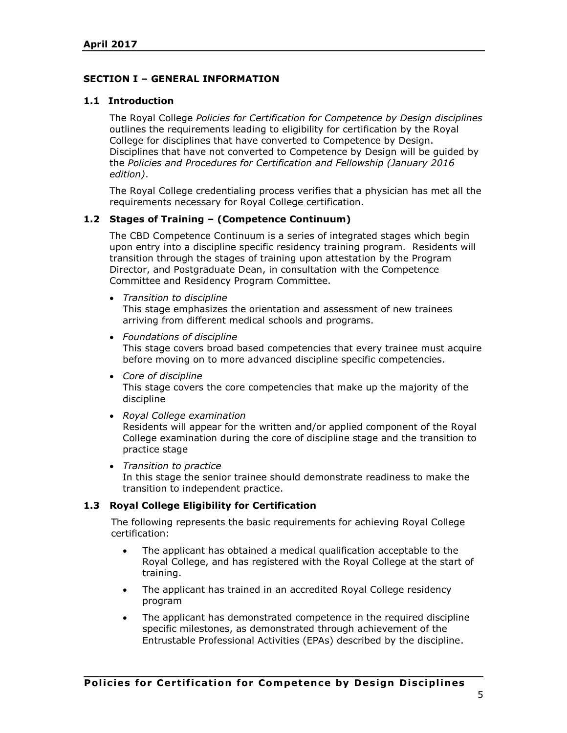# **SECTION I – GENERAL INFORMATION**

### **1.1 Introduction**

The Royal College *Policies for Certification for Competence by Design disciplines* outlines the requirements leading to eligibility for certification by the Royal College for disciplines that have converted to Competence by Design. Disciplines that have not converted to Competence by Design will be guided by the *Policies and Procedures for Certification and Fellowship (January 2016 edition)*.

The Royal College credentialing process verifies that a physician has met all the requirements necessary for Royal College certification.

### **1.2 Stages of Training – (Competence Continuum)**

The CBD Competence Continuum is a series of integrated stages which begin upon entry into a discipline specific residency training program. Residents will transition through the stages of training upon attestation by the Program Director, and Postgraduate Dean, in consultation with the Competence Committee and Residency Program Committee.

- *Transition to discipline* This stage emphasizes the orientation and assessment of new trainees arriving from different medical schools and programs.
- *Foundations of discipline* This stage covers broad based competencies that every trainee must acquire before moving on to more advanced discipline specific competencies.
- *Core of discipline* This stage covers the core competencies that make up the majority of the discipline
- *Royal College examination* Residents will appear for the written and/or applied component of the Royal College examination during the core of discipline stage and the transition to practice stage
- *Transition to practice* In this stage the senior trainee should demonstrate readiness to make the transition to independent practice.

# **1.3 Royal College Eligibility for Certification**

The following represents the basic requirements for achieving Royal College certification:

- The applicant has obtained a medical qualification acceptable to the Royal College, and has registered with the Royal College at the start of training.
- The applicant has trained in an accredited Royal College residency program
- The applicant has demonstrated competence in the required discipline specific milestones, as demonstrated through achievement of the Entrustable Professional Activities (EPAs) described by the discipline.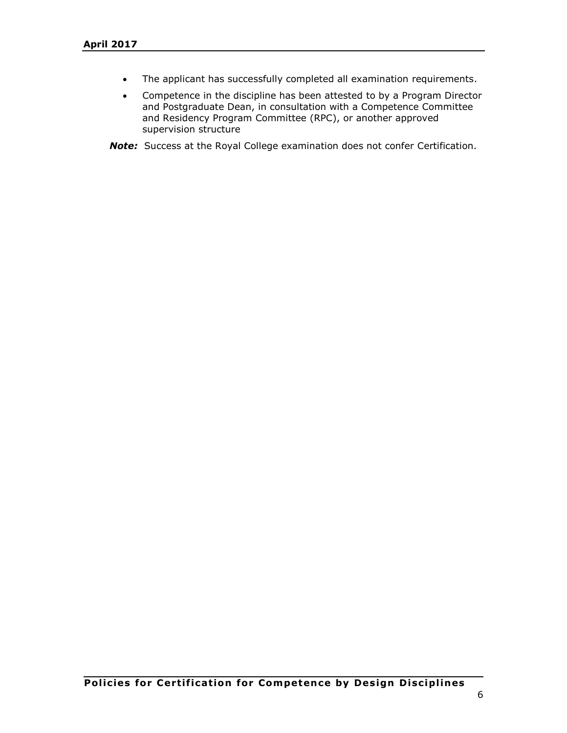- The applicant has successfully completed all examination requirements.
- Competence in the discipline has been attested to by a Program Director and Postgraduate Dean, in consultation with a Competence Committee and Residency Program Committee (RPC), or another approved supervision structure

*Note:* Success at the Royal College examination does not confer Certification.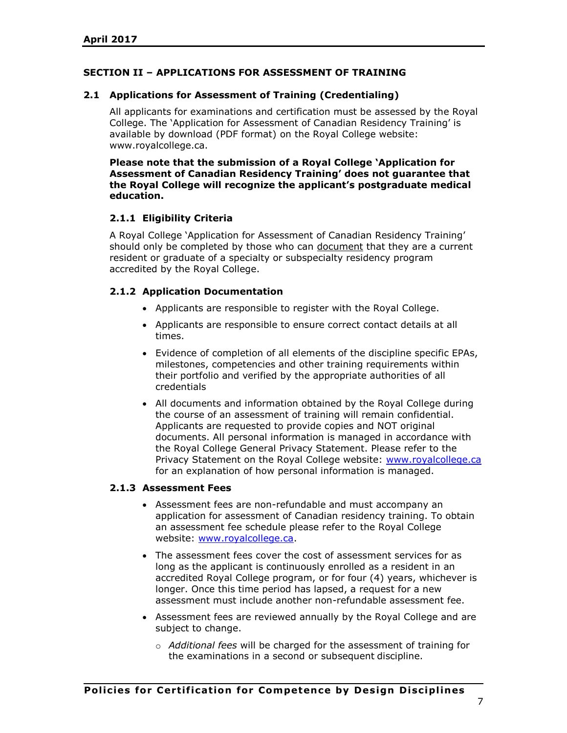# **SECTION II – APPLICATIONS FOR ASSESSMENT OF TRAINING**

## **2.1 Applications for Assessment of Training (Credentialing)**

All applicants for examinations and certification must be assessed by the Royal College. The 'Application for Assessment of Canadian Residency Training' is available by download (PDF format) on the Royal College website: www.royalcollege.ca.

**Please note that the submission of a Royal College 'Application for Assessment of Canadian Residency Training' does not guarantee that the Royal College will recognize the applicant's postgraduate medical education.**

# **2.1.1 Eligibility Criteria**

A Royal College 'Application for Assessment of Canadian Residency Training' should only be completed by those who can document that they are a current resident or graduate of a specialty or subspecialty residency program accredited by the Royal College.

# **2.1.2 Application Documentation**

- Applicants are responsible to register with the Royal College.
- Applicants are responsible to ensure correct contact details at all times.
- Evidence of completion of all elements of the discipline specific EPAs, milestones, competencies and other training requirements within their portfolio and verified by the appropriate authorities of all credentials
- All documents and information obtained by the Royal College during the course of an assessment of training will remain confidential. Applicants are requested to provide copies and NOT original documents. All personal information is managed in accordance with the Royal College General Privacy Statement. Please refer to the Privacy Statement on the Royal College website: [www.royalcollege.ca](http://www.royalcollege.ca/) for an explanation of how personal information is managed.

### **2.1.3 Assessment Fees**

- Assessment fees are non-refundable and must accompany an application for assessment of Canadian residency training. To obtain an assessment fee schedule please refer to the Royal College website: [www.royalcollege.ca.](http://www.royalcollege.ca/)
- The assessment fees cover the cost of assessment services for as long as the applicant is continuously enrolled as a resident in an accredited Royal College program, or for four (4) years, whichever is longer. Once this time period has lapsed, a request for a new assessment must include another non-refundable assessment fee.
- Assessment fees are reviewed annually by the Royal College and are subject to change.
	- o *Additional fees* will be charged for the assessment of training for the examinations in a second or subsequent discipline.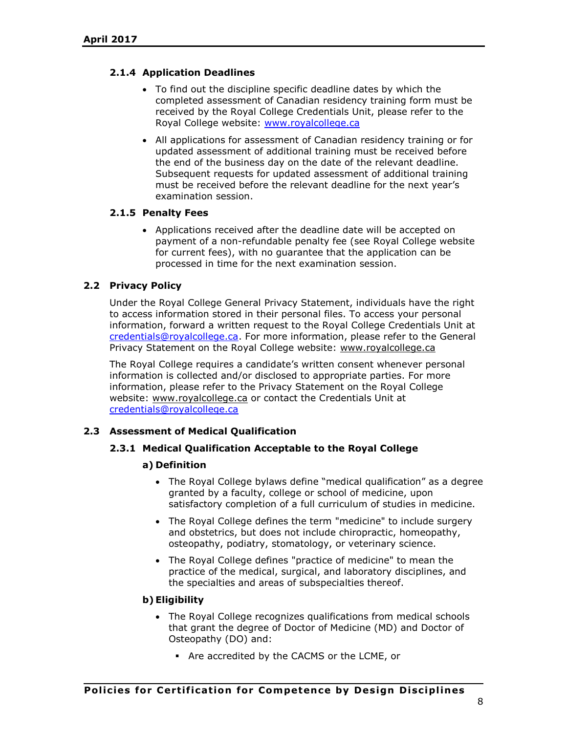# **2.1.4 Application Deadlines**

- To find out the discipline specific deadline dates by which the completed assessment of Canadian residency training form must be received by the Royal College Credentials Unit, please refer to the Royal College website: [www.royalcollege.ca](http://www.royalcollege.ca/)
- All applications for assessment of Canadian residency training or for updated assessment of additional training must be received before the end of the business day on the date of the relevant deadline. Subsequent requests for updated assessment of additional training must be received before the relevant deadline for the next year's examination session.

# **2.1.5 Penalty Fees**

 Applications received after the deadline date will be accepted on payment of a non-refundable penalty fee (see Royal College website for current fees), with no guarantee that the application can be processed in time for the next examination session.

# **2.2 Privacy Policy**

Under the Royal College General Privacy Statement, individuals have the right to access information stored in their personal files. To access your personal information, forward a written request to the Royal College Credentials Unit at [credentials@royalcollege.ca.](mailto:credentials@royalcollege.ca) For more information, please refer to the General Privacy Statement on the Royal College website: [www.royalcollege.ca](http://www.royalcollege.ca/)

The Royal College requires a candidate's written consent whenever personal information is collected and/or disclosed to appropriate parties. For more information, please refer to the Privacy Statement on the Royal College website: [www.royalcollege.ca](http://www.royalcollege.ca/) or contact the Credentials Unit at [credentials@royalcollege.ca](mailto:credentials@royalcollege.ca)

### **2.3 Assessment of Medical Qualification**

### **2.3.1 Medical Qualification Acceptable to the Royal College**

### **a) Definition**

- The Royal College bylaws define "medical qualification" as a degree granted by a faculty, college or school of medicine, upon satisfactory completion of a full curriculum of studies in medicine.
- The Royal College defines the term "medicine" to include surgery and obstetrics, but does not include chiropractic, homeopathy, osteopathy, podiatry, stomatology, or veterinary science.
- The Royal College defines "practice of medicine" to mean the practice of the medical, surgical, and laboratory disciplines, and the specialties and areas of subspecialties thereof.

### **b) Eligibility**

- The Royal College recognizes qualifications from medical schools that grant the degree of Doctor of Medicine (MD) and Doctor of Osteopathy (DO) and:
	- Are accredited by the CACMS or the LCME, or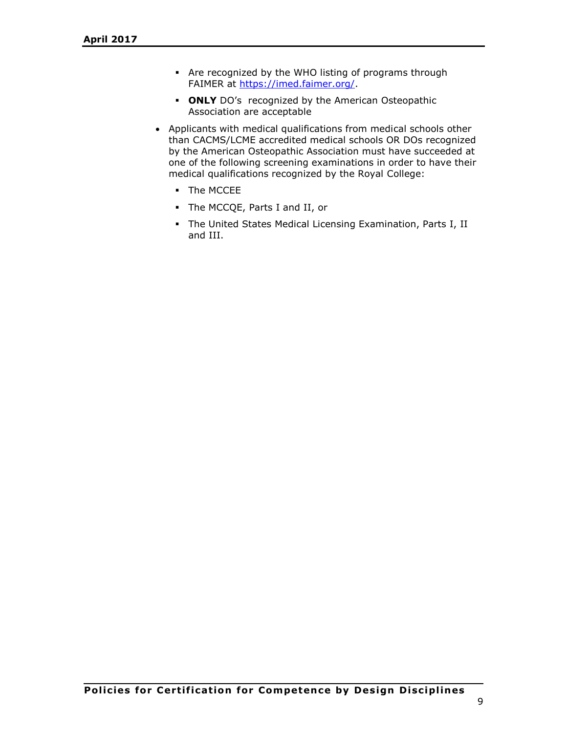- Are recognized by the WHO listing of programs through FAIMER at [https://imed.faimer.org/.](https://imed.faimer.org/)
- **ONLY** DO's recognized by the American Osteopathic Association are acceptable
- Applicants with medical qualifications from medical schools other than CACMS/LCME accredited medical schools OR DOs recognized by the American Osteopathic Association must have succeeded at one of the following screening examinations in order to have their medical qualifications recognized by the Royal College:
	- **The MCCEE**
	- The MCCQE, Parts I and II, or
	- The United States Medical Licensing Examination, Parts I, II and III.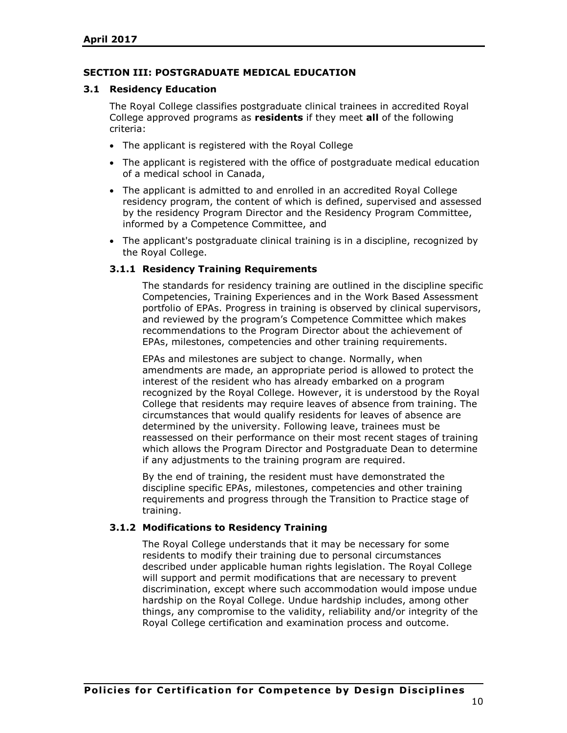## **SECTION III: POSTGRADUATE MEDICAL EDUCATION**

#### **3.1 Residency Education**

The Royal College classifies postgraduate clinical trainees in accredited Royal College approved programs as **residents** if they meet **all** of the following criteria:

- The applicant is registered with the Royal College
- The applicant is registered with the office of postgraduate medical education of a medical school in Canada,
- The applicant is admitted to and enrolled in an accredited Royal College residency program, the content of which is defined, supervised and assessed by the residency Program Director and the Residency Program Committee, informed by a Competence Committee, and
- The applicant's postgraduate clinical training is in a discipline, recognized by the Royal College.

#### **3.1.1 Residency Training Requirements**

The standards for residency training are outlined in the discipline specific Competencies, Training Experiences and in the Work Based Assessment portfolio of EPAs. Progress in training is observed by clinical supervisors, and reviewed by the program's Competence Committee which makes recommendations to the Program Director about the achievement of EPAs, milestones, competencies and other training requirements.

EPAs and milestones are subject to change. Normally, when amendments are made, an appropriate period is allowed to protect the interest of the resident who has already embarked on a program recognized by the Royal College. However, it is understood by the Royal College that residents may require leaves of absence from training. The circumstances that would qualify residents for leaves of absence are determined by the university. Following leave, trainees must be reassessed on their performance on their most recent stages of training which allows the Program Director and Postgraduate Dean to determine if any adjustments to the training program are required.

By the end of training, the resident must have demonstrated the discipline specific EPAs, milestones, competencies and other training requirements and progress through the Transition to Practice stage of training.

### **3.1.2 Modifications to Residency Training**

The Royal College understands that it may be necessary for some residents to modify their training due to personal circumstances described under applicable human rights legislation. The Royal College will support and permit modifications that are necessary to prevent discrimination, except where such accommodation would impose undue hardship on the Royal College. Undue hardship includes, among other things, any compromise to the validity, reliability and/or integrity of the Royal College certification and examination process and outcome.